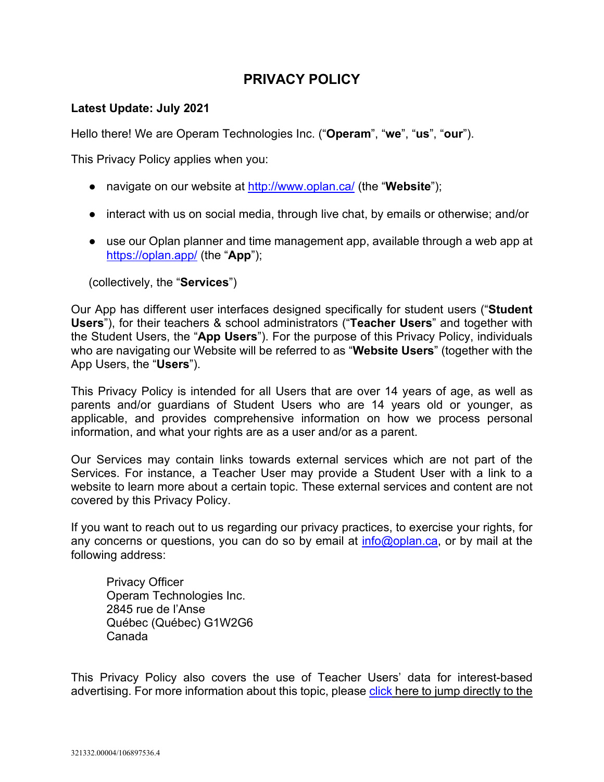# **PRIVACY POLICY**

## **Latest Update: July 2021**

Hello there! We are Operam Technologies Inc. ("**Operam**", "**we**", "**us**", "**our**").

This Privacy Policy applies when you:

- navigate on our website at<http://www.oplan.ca/> (the "**Website**");
- interact with us on social media, through live chat, by emails or otherwise; and/or
- use our Oplan planner and time management app, available through a web app at <https://oplan.app/> (the "**App**");

(collectively, the "**Services**")

Our App has different user interfaces designed specifically for student users ("**Student Users**"), for their teachers & school administrators ("**Teacher Users**" and together with the Student Users, the "**App Users**"). For the purpose of this Privacy Policy, individuals who are navigating our Website will be referred to as "**Website Users**" (together with the App Users, the "**Users**").

This Privacy Policy is intended for all Users that are over 14 years of age, as well as parents and/or guardians of Student Users who are 14 years old or younger, as applicable, and provides comprehensive information on how we process personal information, and what your rights are as a user and/or as a parent.

Our Services may contain links towards external services which are not part of the Services. For instance, a Teacher User may provide a Student User with a link to a website to learn more about a certain topic. These external services and content are not covered by this Privacy Policy.

If you want to reach out to us regarding our privacy practices, to exercise your rights, for any concerns or questions, you can do so by email at [info@oplan.ca,](mailto:info@oplan.ca) or by mail at the following address:

Privacy Officer Operam Technologies Inc. 2845 rue de l'Anse Québec (Québec) G1W2G6 Canada

This Privacy Policy also covers the use of Teacher Users' data for interest-based advertising. For more information about this topic, please [click](#page-7-0) here to jump directly to the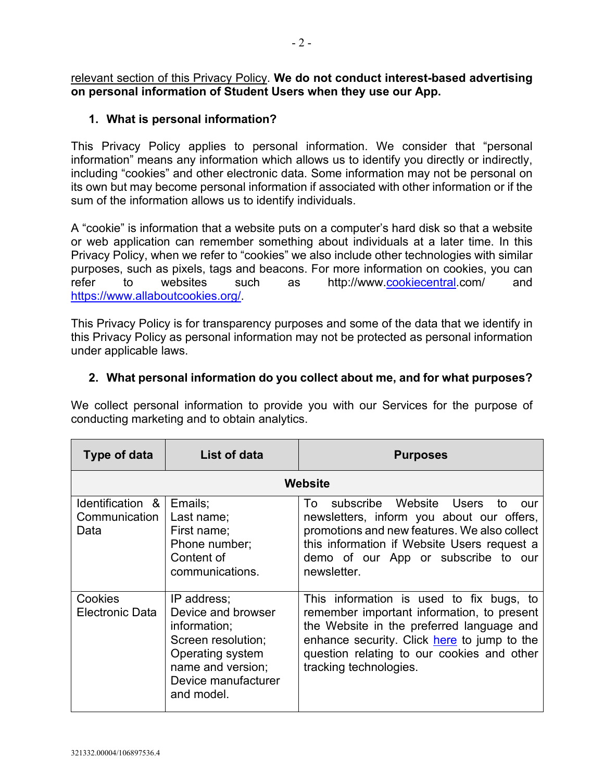relevant section of this Privacy Policy. **We do not conduct interest-based advertising on personal information of Student Users when they use our App.**

## **1. What is personal information?**

This Privacy Policy applies to personal information. We consider that "personal information" means any information which allows us to identify you directly or indirectly, including "cookies" and other electronic data. Some information may not be personal on its own but may become personal information if associated with other information or if the sum of the information allows us to identify individuals.

A "cookie" is information that a website puts on a computer's hard disk so that a website or web application can remember something about individuals at a later time. In this Privacy Policy, when we refer to "cookies" we also include other technologies with similar purposes, such as pixels, tags and beacons. For more information on cookies, you can refer to websites such as http://www[.cookiecentral.](http://www.cookiecentral.com/)com/ and https://www.allaboutcookies.org/

This Privacy Policy is for transparency purposes and some of the data that we identify in this Privacy Policy as personal information may not be protected as personal information under applicable laws.

## **2. What personal information do you collect about me, and for what purposes?**

We collect personal information to provide you with our Services for the purpose of conducting marketing and to obtain analytics.

| Type of data                              | List of data                                                                                                                                          | <b>Purposes</b>                                                                                                                                                                                                                                            |
|-------------------------------------------|-------------------------------------------------------------------------------------------------------------------------------------------------------|------------------------------------------------------------------------------------------------------------------------------------------------------------------------------------------------------------------------------------------------------------|
|                                           |                                                                                                                                                       | Website                                                                                                                                                                                                                                                    |
| Identification &<br>Communication<br>Data | Emails;<br>Last name;<br>First name;<br>Phone number;<br>Content of<br>communications.                                                                | subscribe Website Users<br>To To<br>to<br>OUT<br>newsletters, inform you about our offers,<br>promotions and new features. We also collect<br>this information if Website Users request a<br>demo of our App or subscribe to our<br>newsletter.            |
| Cookies<br><b>Electronic Data</b>         | IP address;<br>Device and browser<br>information;<br>Screen resolution;<br>Operating system<br>name and version;<br>Device manufacturer<br>and model. | This information is used to fix bugs, to<br>remember important information, to present<br>the Website in the preferred language and<br>enhance security. Click here to jump to the<br>question relating to our cookies and other<br>tracking technologies. |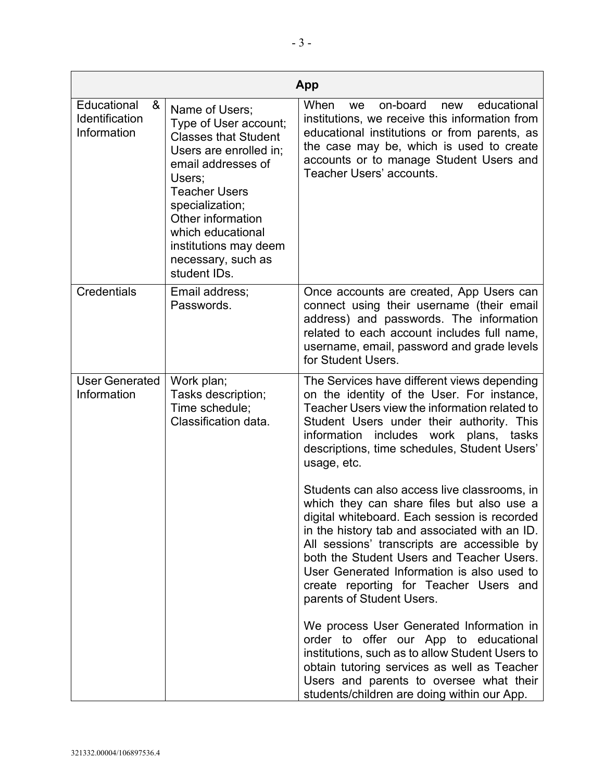|                                                          |                                                                                                                                                                                                                                                                                      | App                                                                                                                                                                                                                                                                                                                                                                                                         |
|----------------------------------------------------------|--------------------------------------------------------------------------------------------------------------------------------------------------------------------------------------------------------------------------------------------------------------------------------------|-------------------------------------------------------------------------------------------------------------------------------------------------------------------------------------------------------------------------------------------------------------------------------------------------------------------------------------------------------------------------------------------------------------|
| Educational<br>&<br><b>Identification</b><br>Information | Name of Users;<br>Type of User account;<br><b>Classes that Student</b><br>Users are enrolled in;<br>email addresses of<br>Users;<br><b>Teacher Users</b><br>specialization;<br>Other information<br>which educational<br>institutions may deem<br>necessary, such as<br>student IDs. | When<br>on-board<br>educational<br>new<br>we<br>institutions, we receive this information from<br>educational institutions or from parents, as<br>the case may be, which is used to create<br>accounts or to manage Student Users and<br>Teacher Users' accounts.                                                                                                                                           |
| <b>Credentials</b>                                       | Email address;<br>Passwords.                                                                                                                                                                                                                                                         | Once accounts are created, App Users can<br>connect using their username (their email<br>address) and passwords. The information<br>related to each account includes full name,<br>username, email, password and grade levels<br>for Student Users.                                                                                                                                                         |
| <b>User Generated</b><br>Information                     | Work plan;<br>Tasks description;<br>Time schedule;<br>Classification data.                                                                                                                                                                                                           | The Services have different views depending<br>on the identity of the User. For instance,<br>Teacher Users view the information related to<br>Student Users under their authority. This<br>includes work plans, tasks<br>information<br>descriptions, time schedules, Student Users'<br>usage, etc.                                                                                                         |
|                                                          |                                                                                                                                                                                                                                                                                      | Students can also access live classrooms, in<br>which they can share files but also use a<br>digital whiteboard. Each session is recorded<br>in the history tab and associated with an ID.<br>All sessions' transcripts are accessible by<br>both the Student Users and Teacher Users.<br>User Generated Information is also used to<br>create reporting for Teacher Users and<br>parents of Student Users. |
|                                                          |                                                                                                                                                                                                                                                                                      | We process User Generated Information in<br>order to offer our App to educational<br>institutions, such as to allow Student Users to<br>obtain tutoring services as well as Teacher<br>Users and parents to oversee what their<br>students/children are doing within our App.                                                                                                                               |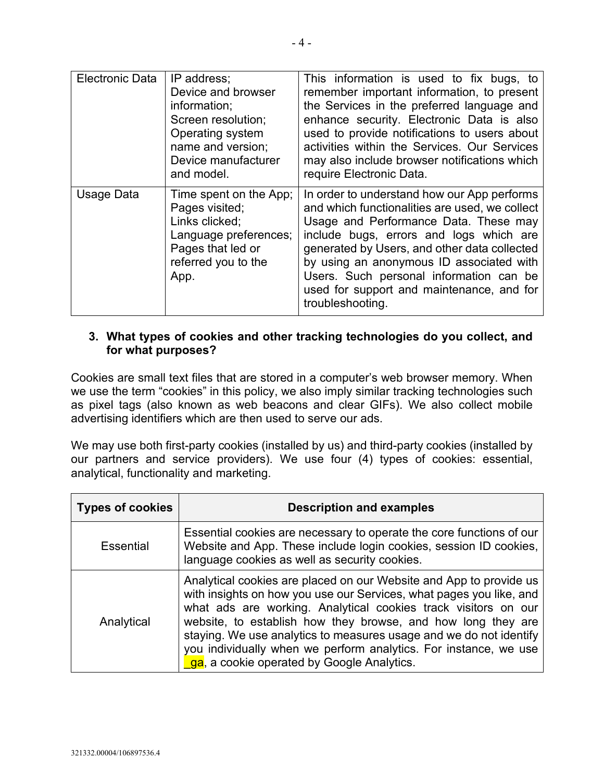| <b>Electronic Data</b> | IP address;<br>Device and browser<br>information;<br>Screen resolution;<br>Operating system<br>name and version;<br>Device manufacturer<br>and model. | This information is used to fix bugs, to<br>remember important information, to present<br>the Services in the preferred language and<br>enhance security. Electronic Data is also<br>used to provide notifications to users about<br>activities within the Services. Our Services<br>may also include browser notifications which<br>require Electronic Data.                             |
|------------------------|-------------------------------------------------------------------------------------------------------------------------------------------------------|-------------------------------------------------------------------------------------------------------------------------------------------------------------------------------------------------------------------------------------------------------------------------------------------------------------------------------------------------------------------------------------------|
| Usage Data             | Time spent on the App;<br>Pages visited;<br>Links clicked;<br>Language preferences;<br>Pages that led or<br>referred you to the<br>App.               | In order to understand how our App performs<br>and which functionalities are used, we collect<br>Usage and Performance Data. These may<br>include bugs, errors and logs which are<br>generated by Users, and other data collected<br>by using an anonymous ID associated with<br>Users. Such personal information can be<br>used for support and maintenance, and for<br>troubleshooting. |

## <span id="page-3-0"></span>**3. What types of cookies and other tracking technologies do you collect, and for what purposes?**

Cookies are small text files that are stored in a computer's web browser memory. When we use the term "cookies" in this policy, we also imply similar tracking technologies such as pixel tags (also known as web beacons and clear GIFs). We also collect mobile advertising identifiers which are then used to serve our ads.

We may use both first-party cookies (installed by us) and third-party cookies (installed by our partners and service providers). We use four (4) types of cookies: essential, analytical, functionality and marketing.

| <b>Types of cookies</b> | <b>Description and examples</b>                                                                                                                                                                                                                                                                                                                                                                                                                                     |
|-------------------------|---------------------------------------------------------------------------------------------------------------------------------------------------------------------------------------------------------------------------------------------------------------------------------------------------------------------------------------------------------------------------------------------------------------------------------------------------------------------|
| <b>Essential</b>        | Essential cookies are necessary to operate the core functions of our<br>Website and App. These include login cookies, session ID cookies,<br>language cookies as well as security cookies.                                                                                                                                                                                                                                                                          |
| Analytical              | Analytical cookies are placed on our Website and App to provide us<br>with insights on how you use our Services, what pages you like, and<br>what ads are working. Analytical cookies track visitors on our<br>website, to establish how they browse, and how long they are<br>staying. We use analytics to measures usage and we do not identify<br>you individually when we perform analytics. For instance, we use<br>ga, a cookie operated by Google Analytics. |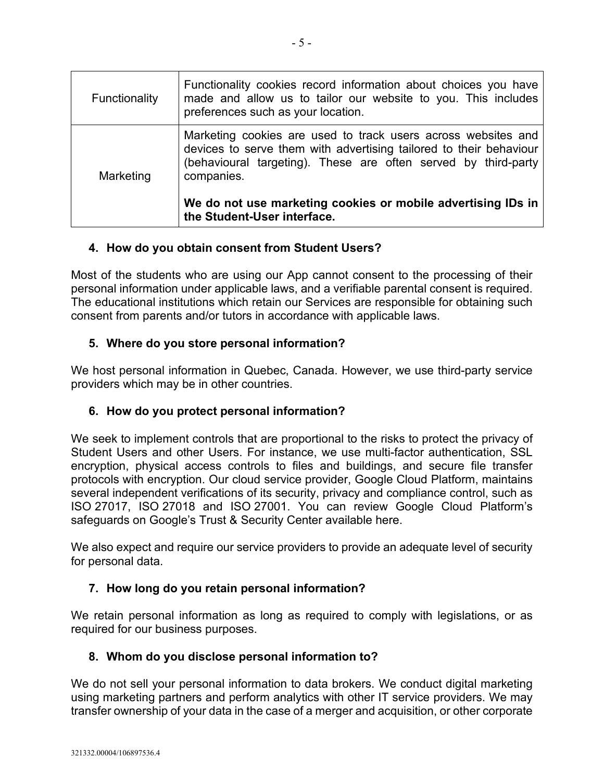| Functionality | Functionality cookies record information about choices you have<br>made and allow us to tailor our website to you. This includes<br>preferences such as your location.                                              |
|---------------|---------------------------------------------------------------------------------------------------------------------------------------------------------------------------------------------------------------------|
| Marketing     | Marketing cookies are used to track users across websites and<br>devices to serve them with advertising tailored to their behaviour<br>(behavioural targeting). These are often served by third-party<br>companies. |
|               | We do not use marketing cookies or mobile advertising IDs in<br>the Student-User interface.                                                                                                                         |

# **4. How do you obtain consent from Student Users?**

Most of the students who are using our App cannot consent to the processing of their personal information under applicable laws, and a verifiable parental consent is required. The educational institutions which retain our Services are responsible for obtaining such consent from parents and/or tutors in accordance with applicable laws.

## **5. Where do you store personal information?**

We host personal information in Quebec, Canada. However, we use third-party service providers which may be in other countries.

# **6. How do you protect personal information?**

We seek to implement controls that are proportional to the risks to protect the privacy of Student Users and other Users. For instance, we use multi-factor authentication, SSL encryption, physical access controls to files and buildings, and secure file transfer protocols with encryption. Our cloud service provider, Google Cloud Platform, maintains several independent verifications of its security, privacy and compliance control, such as ISO 27017, ISO 27018 and ISO 27001. You can review Google Cloud Platform's safeguards on Google's Trust & Security Center [available here.](https://safety.google/security/?utm_source=google&utm_medium=cpc&utm_campaign=safety_center&utm_term=google_security&gclid=EAIaIQobChMIwbCOzYjy8QIVT8vICh3U9wtgEAAYASAAEgJEZvD_BwE&gclsrc=aw.ds)

We also expect and require our service providers to provide an adequate level of security for personal data.

#### **7. How long do you retain personal information?**

We retain personal information as long as required to comply with legislations, or as required for our business purposes.

#### **8. Whom do you disclose personal information to?**

We do not sell your personal information to data brokers. We conduct digital marketing using marketing partners and perform analytics with other IT service providers. We may transfer ownership of your data in the case of a merger and acquisition, or other corporate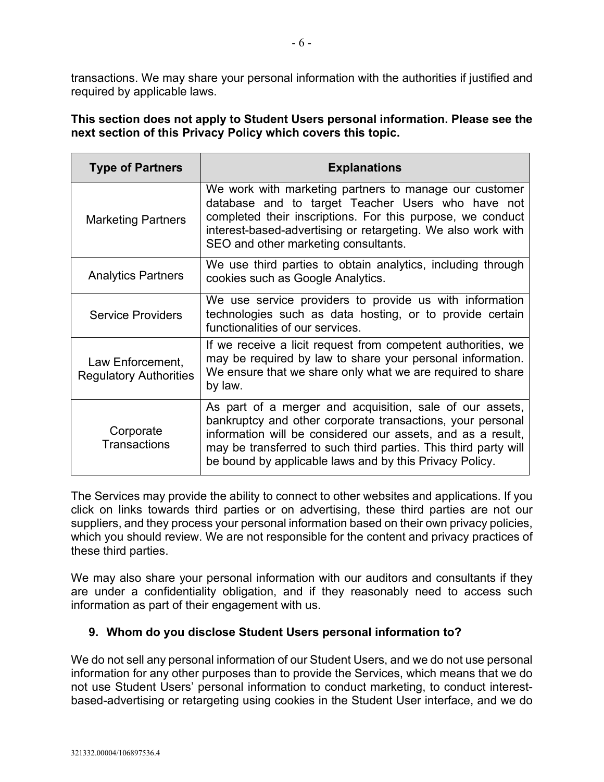transactions. We may share your personal information with the authorities if justified and required by applicable laws.

**This section does not apply to Student Users personal information. Please see the next section of this Privacy Policy which covers this topic.**

| <b>Type of Partners</b>                           | <b>Explanations</b>                                                                                                                                                                                                                                                                                                 |
|---------------------------------------------------|---------------------------------------------------------------------------------------------------------------------------------------------------------------------------------------------------------------------------------------------------------------------------------------------------------------------|
| <b>Marketing Partners</b>                         | We work with marketing partners to manage our customer<br>database and to target Teacher Users who have not<br>completed their inscriptions. For this purpose, we conduct<br>interest-based-advertising or retargeting. We also work with<br>SEO and other marketing consultants.                                   |
| <b>Analytics Partners</b>                         | We use third parties to obtain analytics, including through<br>cookies such as Google Analytics.                                                                                                                                                                                                                    |
| <b>Service Providers</b>                          | We use service providers to provide us with information<br>technologies such as data hosting, or to provide certain<br>functionalities of our services.                                                                                                                                                             |
| Law Enforcement,<br><b>Regulatory Authorities</b> | If we receive a licit request from competent authorities, we<br>may be required by law to share your personal information.<br>We ensure that we share only what we are required to share<br>by law.                                                                                                                 |
| Corporate<br><b>Transactions</b>                  | As part of a merger and acquisition, sale of our assets,<br>bankruptcy and other corporate transactions, your personal<br>information will be considered our assets, and as a result,<br>may be transferred to such third parties. This third party will<br>be bound by applicable laws and by this Privacy Policy. |

The Services may provide the ability to connect to other websites and applications. If you click on links towards third parties or on advertising, these third parties are not our suppliers, and they process your personal information based on their own privacy policies, which you should review. We are not responsible for the content and privacy practices of these third parties.

We may also share your personal information with our auditors and consultants if they are under a confidentiality obligation, and if they reasonably need to access such information as part of their engagement with us.

#### **9. Whom do you disclose Student Users personal information to?**

We do not sell any personal information of our Student Users, and we do not use personal information for any other purposes than to provide the Services, which means that we do not use Student Users' personal information to conduct marketing, to conduct interestbased-advertising or retargeting using cookies in the Student User interface, and we do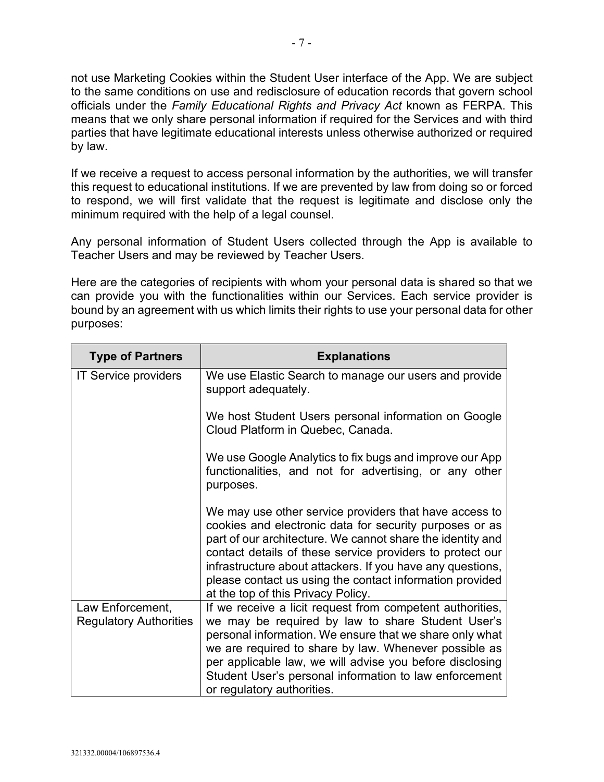not use Marketing Cookies within the Student User interface of the App. We are subject to the same conditions on use and redisclosure of education records that govern school officials under the *Family Educational Rights and Privacy Act* known as FERPA. This means that we only share personal information if required for the Services and with third parties that have legitimate educational interests unless otherwise authorized or required by law.

If we receive a request to access personal information by the authorities, we will transfer this request to educational institutions. If we are prevented by law from doing so or forced to respond, we will first validate that the request is legitimate and disclose only the minimum required with the help of a legal counsel.

Any personal information of Student Users collected through the App is available to Teacher Users and may be reviewed by Teacher Users.

Here are the categories of recipients with whom your personal data is shared so that we can provide you with the functionalities within our Services. Each service provider is bound by an agreement with us which limits their rights to use your personal data for other purposes:

| <b>Type of Partners</b>                           | <b>Explanations</b>                                                                                                                                                                                                                                                                                                                                                                                          |
|---------------------------------------------------|--------------------------------------------------------------------------------------------------------------------------------------------------------------------------------------------------------------------------------------------------------------------------------------------------------------------------------------------------------------------------------------------------------------|
| IT Service providers                              | We use Elastic Search to manage our users and provide<br>support adequately.                                                                                                                                                                                                                                                                                                                                 |
|                                                   | We host Student Users personal information on Google<br>Cloud Platform in Quebec, Canada.                                                                                                                                                                                                                                                                                                                    |
|                                                   | We use Google Analytics to fix bugs and improve our App<br>functionalities, and not for advertising, or any other<br>purposes.                                                                                                                                                                                                                                                                               |
|                                                   | We may use other service providers that have access to<br>cookies and electronic data for security purposes or as<br>part of our architecture. We cannot share the identity and<br>contact details of these service providers to protect our<br>infrastructure about attackers. If you have any questions,<br>please contact us using the contact information provided<br>at the top of this Privacy Policy. |
| Law Enforcement,<br><b>Regulatory Authorities</b> | If we receive a licit request from competent authorities,<br>we may be required by law to share Student User's<br>personal information. We ensure that we share only what<br>we are required to share by law. Whenever possible as<br>per applicable law, we will advise you before disclosing<br>Student User's personal information to law enforcement<br>or regulatory authorities.                       |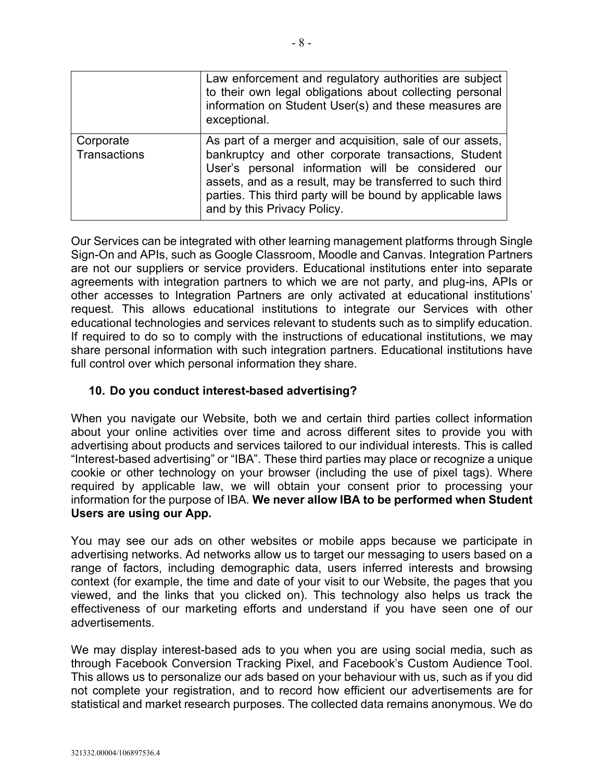|                           | Law enforcement and regulatory authorities are subject<br>to their own legal obligations about collecting personal<br>information on Student User(s) and these measures are<br>exceptional.                                                                                                                                      |
|---------------------------|----------------------------------------------------------------------------------------------------------------------------------------------------------------------------------------------------------------------------------------------------------------------------------------------------------------------------------|
| Corporate<br>Transactions | As part of a merger and acquisition, sale of our assets,<br>bankruptcy and other corporate transactions, Student<br>User's personal information will be considered our<br>assets, and as a result, may be transferred to such third<br>parties. This third party will be bound by applicable laws<br>and by this Privacy Policy. |

Our Services can be integrated with other learning management platforms through Single Sign-On and APIs, such as Google Classroom, Moodle and Canvas. Integration Partners are not our suppliers or service providers. Educational institutions enter into separate agreements with integration partners to which we are not party, and plug-ins, APIs or other accesses to Integration Partners are only activated at educational institutions' request. This allows educational institutions to integrate our Services with other educational technologies and services relevant to students such as to simplify education. If required to do so to comply with the instructions of educational institutions, we may share personal information with such integration partners. Educational institutions have full control over which personal information they share.

## <span id="page-7-0"></span>**10. Do you conduct interest-based advertising?**

When you navigate our Website, both we and certain third parties collect information about your online activities over time and across different sites to provide you with advertising about products and services tailored to our individual interests. This is called "Interest-based advertising" or "IBA". These third parties may place or recognize a unique cookie or other technology on your browser (including the use of pixel tags). Where required by applicable law, we will obtain your consent prior to processing your information for the purpose of IBA. **We never allow IBA to be performed when Student Users are using our App.**

You may see our ads on other websites or mobile apps because we participate in advertising networks. Ad networks allow us to target our messaging to users based on a range of factors, including demographic data, users inferred interests and browsing context (for example, the time and date of your visit to our Website, the pages that you viewed, and the links that you clicked on). This technology also helps us track the effectiveness of our marketing efforts and understand if you have seen one of our advertisements.

We may display interest-based ads to you when you are using social media, such as through Facebook Conversion Tracking Pixel, and Facebook's Custom Audience Tool. This allows us to personalize our ads based on your behaviour with us, such as if you did not complete your registration, and to record how efficient our advertisements are for statistical and market research purposes. The collected data remains anonymous. We do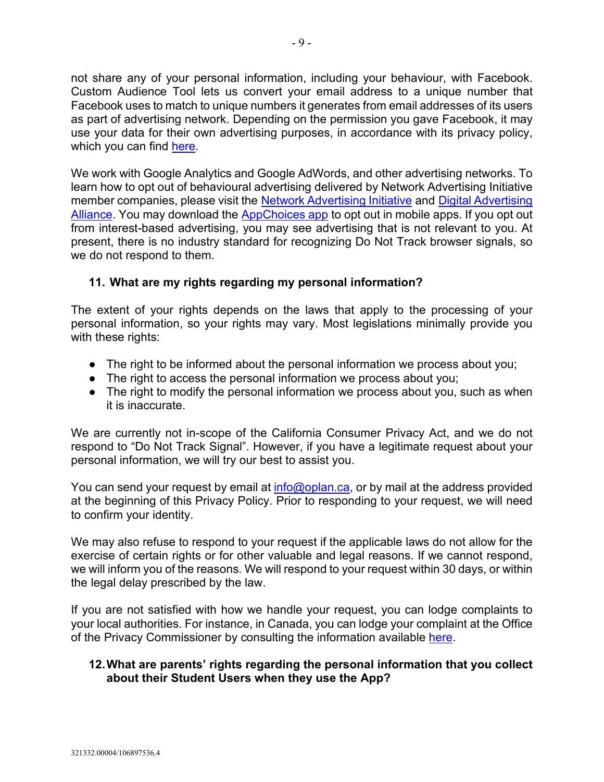not share any of your personal information, including your behaviour, with Facebook. Custom Audience Tool lets us convert your email address to a unique number that Facebook uses to match to unique numbers it generates from email addresses of its users as part of advertising network. Depending on the permission you gave Facebook, it may use your data for their own advertising purposes, in accordance with its privacy policy, which you can find [here.](https://www.facebook.com/about/privacy)

We work with Google Analytics and Google AdWords, and other advertising networks. To learn how to opt out of behavioural advertising delivered by Network Advertising Initiative member companies, please visit the [Network Advertising Initiative](http://www.networkadvertising.org/managing/opt_out.asp) and [Digital Advertising](http://www.aboutads.info/)  [Alliance.](http://www.aboutads.info/) You may download the [AppChoices app](http://youradchoices.com/appchoices) to opt out in mobile apps. If you opt out from interest-based advertising, you may see advertising that is not relevant to you. At present, there is no industry standard for recognizing Do Not Track browser signals, so we do not respond to them.

## **11. What are my rights regarding my personal information?**

The extent of your rights depends on the laws that apply to the processing of your personal information, so your rights may vary. Most legislations minimally provide you with these rights:

- The right to be informed about the personal information we process about you;
- The right to access the personal information we process about you;
- The right to modify the personal information we process about you, such as when it is inaccurate.

We are currently not in-scope of the California Consumer Privacy Act, and we do not respond to "Do Not Track Signal". However, if you have a legitimate request about your personal information, we will try our best to assist you.

You can send your request by email at *info@oplan.ca*, or by mail at the address provided at the beginning of this Privacy Policy. Prior to responding to your request, we will need to confirm your identity.

We may also refuse to respond to your request if the applicable laws do not allow for the exercise of certain rights or for other valuable and legal reasons. If we cannot respond, we will inform you of the reasons. We will respond to your request within 30 days, or within the legal delay prescribed by the law.

If you are not satisfied with how we handle your request, you can lodge complaints to your local authorities. For instance, in Canada, you can lodge your complaint at the Office of the Privacy Commissioner by consulting the information available [here.](https://www.priv.gc.ca/en/report-a-concern/file-a-formal-privacy-complaint/file-a-complaint-about-a-business/)

#### **12.What are parents' rights regarding the personal information that you collect about their Student Users when they use the App?**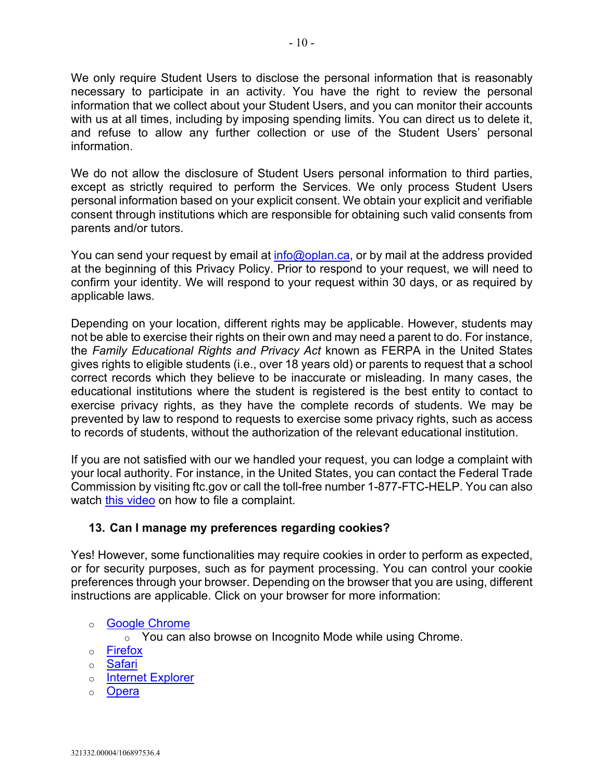We only require Student Users to disclose the personal information that is reasonably necessary to participate in an activity. You have the right to review the personal information that we collect about your Student Users, and you can monitor their accounts with us at all times, including by imposing spending limits. You can direct us to delete it, and refuse to allow any further collection or use of the Student Users' personal information.

We do not allow the disclosure of Student Users personal information to third parties, except as strictly required to perform the Services. We only process Student Users personal information based on your explicit consent. We obtain your explicit and verifiable consent through institutions which are responsible for obtaining such valid consents from parents and/or tutors.

You can send your request by email at [info@oplan.ca,](mailto:info@oplan.ca) or by mail at the address provided at the beginning of this Privacy Policy. Prior to respond to your request, we will need to confirm your identity. We will respond to your request within 30 days, or as required by applicable laws.

Depending on your location, different rights may be applicable. However, students may not be able to exercise their rights on their own and may need a parent to do. For instance, the *Family Educational Rights and Privacy Act* known as FERPA in the United States gives rights to eligible students (i.e., over 18 years old) or parents to request that a school correct records which they believe to be inaccurate or misleading. In many cases, the educational institutions where the student is registered is the best entity to contact to exercise privacy rights, as they have the complete records of students. We may be prevented by law to respond to requests to exercise some privacy rights, such as access to records of students, without the authorization of the relevant educational institution.

If you are not satisfied with our we handled your request, you can lodge a complaint with your local authority. For instance, in the United States, you can contact the Federal Trade Commission by visiting ftc.gov or call the toll-free number 1-877-FTC-HELP. You can also watch [this video](https://www.consumer.ftc.gov/media/video-0054-how-file-complaint) on how to file a complaint.

#### **13. Can I manage my preferences regarding cookies?**

Yes! However, some functionalities may require cookies in order to perform as expected, or for security purposes, such as for payment processing. You can control your cookie preferences through your browser. Depending on the browser that you are using, different instructions are applicable. Click on your browser for more information:

o [Google Chrome](https://support.google.com/chrome/answer/95647?co=GENIE.Platform%3DDesktop&hl=en)

o You can also browse on Incognito Mode while using Chrome.

- o [Firefox](https://support.mozilla.org/en-US/kb/enable-and-disable-cookies-website-preferences)
- o [Safari](https://support.apple.com/en-ca/guide/safari/sfri11471/mac)
- o **[Internet Explorer](https://support.microsoft.com/en-ca/help/17442/windows-internet-explorer-delete-manage-cookies)**
- o [Opera](https://help.opera.com/en/latest/web-preferences/#cookies)